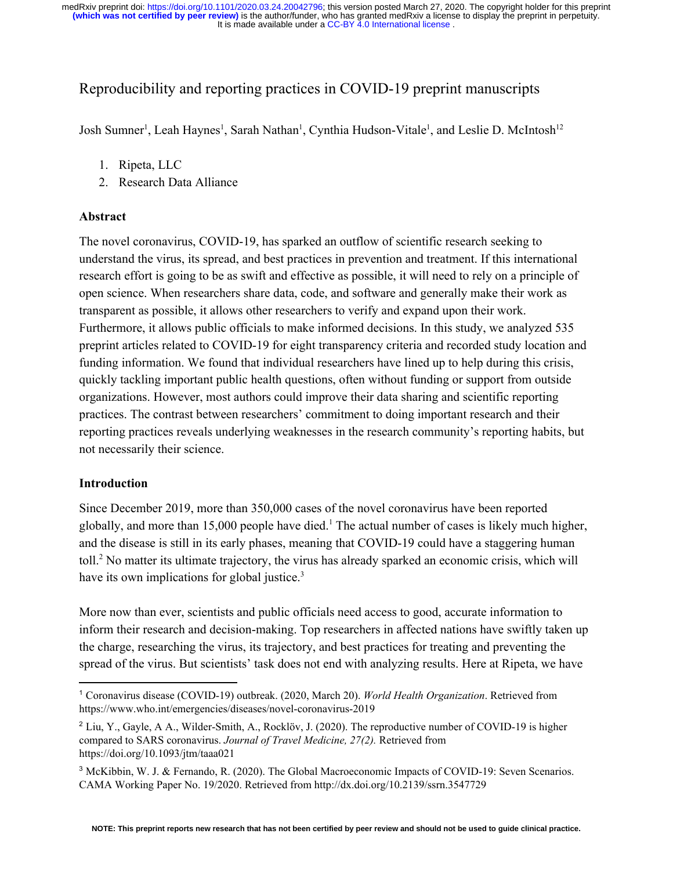# Reproducibility and reporting practices in COVID-19 preprint manuscripts

Josh Sumner<sup>1</sup>, Leah Haynes<sup>1</sup>, Sarah Nathan<sup>1</sup>, Cynthia Hudson-Vitale<sup>1</sup>, and Leslie D. McIntosh<sup>12</sup>

- 1. Ripeta, LLC
- 2. Research Data Alliance

### **Abstract**

The novel coronavirus, COVID-19, has sparked an outflow of scientific research seeking to understand the virus, its spread, and best practices in prevention and treatment. If this international research effort is going to be as swift and effective as possible, it will need to rely on a principle of open science. When researchers share data, code, and software and generally make their work as transparent as possible, it allows other researchers to verify and expand upon their work. Furthermore, it allows public officials to make informed decisions. In this study, we analyzed 535 preprint articles related to COVID-19 for eight transparency criteria and recorded study location and funding information. We found that individual researchers have lined up to help during this crisis, quickly tackling important public health questions, often without funding or support from outside organizations. However, most authors could improve their data sharing and scientific reporting practices. The contrast between researchers' commitment to doing important research and their reporting practices reveals underlying weaknesses in the research community's reporting habits, but not necessarily their science.

## **Introduction**

Since December 2019, more than 350,000 cases of the novel coronavirus have been reported globally, and more than 15,000 people have died.<sup>1</sup> The actual number of cases is likely much higher, and the disease is still in its early phases, meaning that COVID-19 could have a staggering human toll.<sup>2</sup> No matter its ultimate trajectory, the virus has already sparked an economic crisis, which will have its own implications for global justice.<sup>3</sup>

More now than ever, scientists and public officials need access to good, accurate information to inform their research and decision-making. Top researchers in affected nations have swiftly taken up the charge, researching the virus, its trajectory, and best practices for treating and preventing the spread of the virus. But scientists' task does not end with analyzing results. Here at Ripeta, we have

<sup>1</sup> Coronavirus disease (COVID-19) outbreak. (2020, March 20). *World Health Organization*. Retrieved from https://www.who.int/emergencies/diseases/novel-coronavirus-2019

<sup>2</sup> Liu, Y., Gayle, A A., Wilder-Smith, A., Rocklöv, J. (2020). The reproductive number of COVID-19 is higher compared to SARS coronavirus. *Journal of Travel Medicine, 27(2).* Retrieved from https://doi.org/10.1093/jtm/taaa021

<sup>3</sup> McKibbin, W. J. & Fernando, R. (2020). The Global Macroeconomic Impacts of COVID-19: Seven Scenarios. CAMA Working Paper No. 19/2020. Retrieved from http://dx.doi.org/10.2139/ssrn.3547729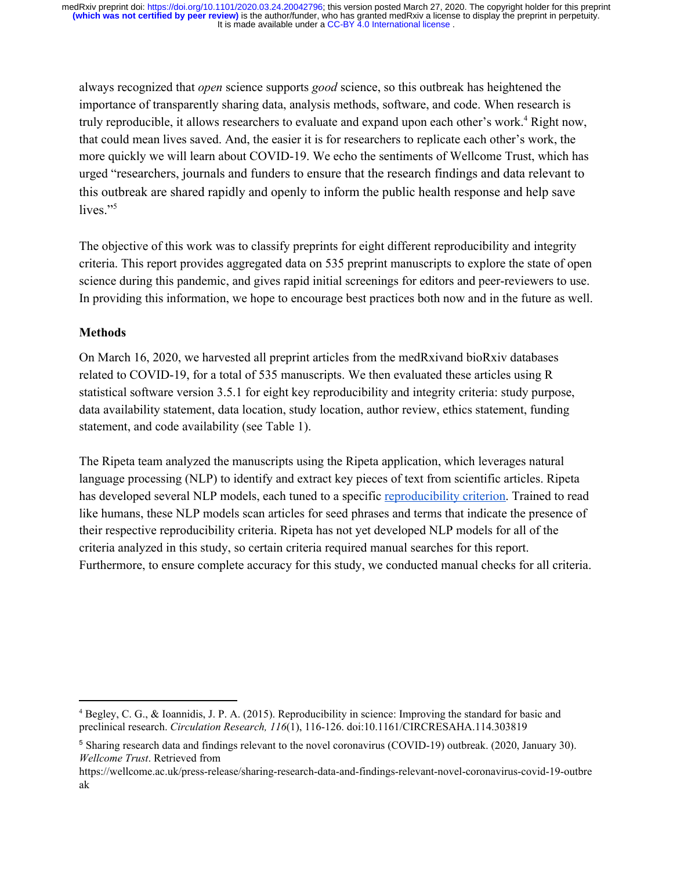always recognized that *open* science supports *good* science, so this outbreak has heightened the importance of transparently sharing data, analysis methods, software, and code. When research is truly reproducible, it allows researchers to evaluate and expand upon each other's work.<sup>4</sup> Right now, that could mean lives saved. And, the easier it is for researchers to replicate each other's work, the more quickly we will learn about COVID-19. We echo the sentiments of Wellcome Trust, which has urged "researchers, journals and funders to ensure that the research findings and data relevant to this outbreak are shared rapidly and openly to inform the public health response and help save lives."<sup>5</sup>

The objective of this work was to classify preprints for eight different reproducibility and integrity criteria. This report provides aggregated data on 535 preprint manuscripts to explore the state of open science during this pandemic, and gives rapid initial screenings for editors and peer-reviewers to use. In providing this information, we hope to encourage best practices both now and in the future as well.

## **Methods**

On March 16, 2020, we harvested all preprint articles from the medRxivand bioRxiv databases related to COVID-19, for a total of 535 manuscripts. We then evaluated these articles using R statistical software version 3.5.1 for eight key reproducibility and integrity criteria: study purpose, data availability statement, data location, study location, author review, ethics statement, funding statement, and code availability (see Table 1).

The Ripeta team analyzed the manuscripts using the Ripeta application, which leverages natural language processing (NLP) to identify and extract key pieces of text from scientific articles. Ripeta has developed several NLP models, each tuned to a specific [reproducibility criterion.](https://www.ripeta.com/uploads/7/4/8/7/7487334/ripeta_approach_and_criteria_definitions.pdf) Trained to read like humans, these NLP models scan articles for seed phrases and terms that indicate the presence of their respective reproducibility criteria. Ripeta has not yet developed NLP models for all of the criteria analyzed in this study, so certain criteria required manual searches for this report. Furthermore, to ensure complete accuracy for this study, we conducted manual checks for all criteria.

<sup>4</sup> Begley, C. G., & Ioannidis, J. P. A. (2015). Reproducibility in science: Improving the standard for basic and preclinical research. *Circulation Research, 116*(1), 116-126. doi:10.1161/CIRCRESAHA.114.303819

<sup>5</sup> Sharing research data and findings relevant to the novel coronavirus (COVID-19) outbreak. (2020, January 30). *Wellcome Trust*. Retrieved from

https://wellcome.ac.uk/press-release/sharing-research-data-and-findings-relevant-novel-coronavirus-covid-19-outbre ak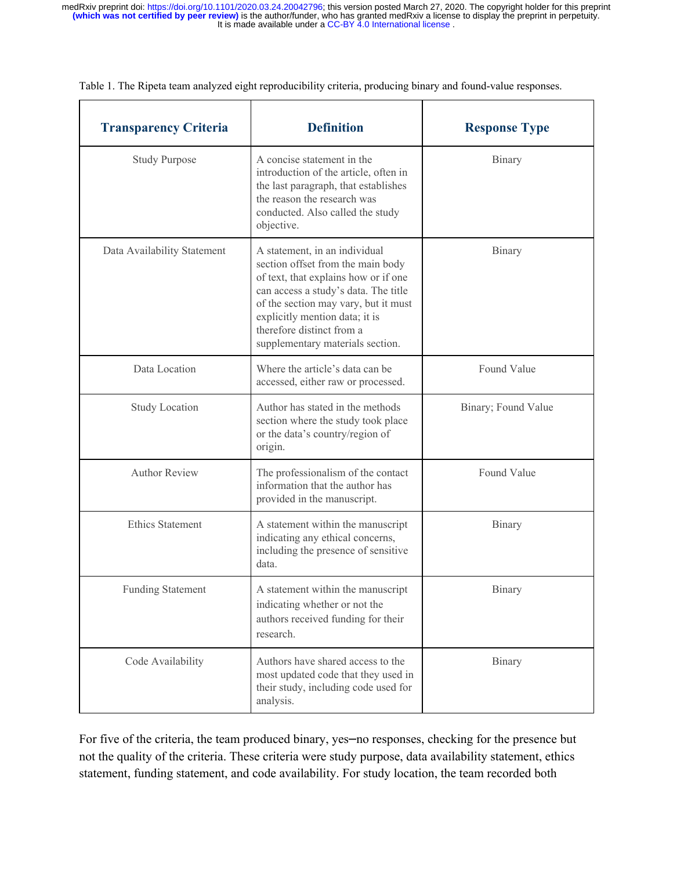| <b>Transparency Criteria</b> | <b>Definition</b>                                                                                                                                                                                                                                                                             | <b>Response Type</b> |  |
|------------------------------|-----------------------------------------------------------------------------------------------------------------------------------------------------------------------------------------------------------------------------------------------------------------------------------------------|----------------------|--|
| <b>Study Purpose</b>         | A concise statement in the<br>introduction of the article, often in<br>the last paragraph, that establishes<br>the reason the research was<br>conducted. Also called the study<br>objective.                                                                                                  | Binary               |  |
| Data Availability Statement  | A statement, in an individual<br>section offset from the main body<br>of text, that explains how or if one<br>can access a study's data. The title<br>of the section may vary, but it must<br>explicitly mention data; it is<br>therefore distinct from a<br>supplementary materials section. | Binary               |  |
| Data Location                | Where the article's data can be<br>accessed, either raw or processed.                                                                                                                                                                                                                         | Found Value          |  |
| <b>Study Location</b>        | Author has stated in the methods<br>section where the study took place<br>or the data's country/region of<br>origin.                                                                                                                                                                          | Binary; Found Value  |  |
| <b>Author Review</b>         | The professionalism of the contact<br>information that the author has<br>provided in the manuscript.                                                                                                                                                                                          | Found Value          |  |
| <b>Ethics Statement</b>      | A statement within the manuscript<br>indicating any ethical concerns,<br>including the presence of sensitive<br>data.                                                                                                                                                                         | Binary               |  |
| <b>Funding Statement</b>     | A statement within the manuscript<br>indicating whether or not the<br>authors received funding for their<br>research.                                                                                                                                                                         | <b>Binary</b>        |  |
| Code Availability            | Authors have shared access to the<br>most updated code that they used in<br>their study, including code used for<br>analysis.                                                                                                                                                                 | Binary               |  |

Table 1. The Ripeta team analyzed eight reproducibility criteria, producing binary and found-value responses.

For five of the criteria, the team produced binary, yes-no responses, checking for the presence but not the quality of the criteria. These criteria were study purpose, data availability statement, ethics statement, funding statement, and code availability. For study location, the team recorded both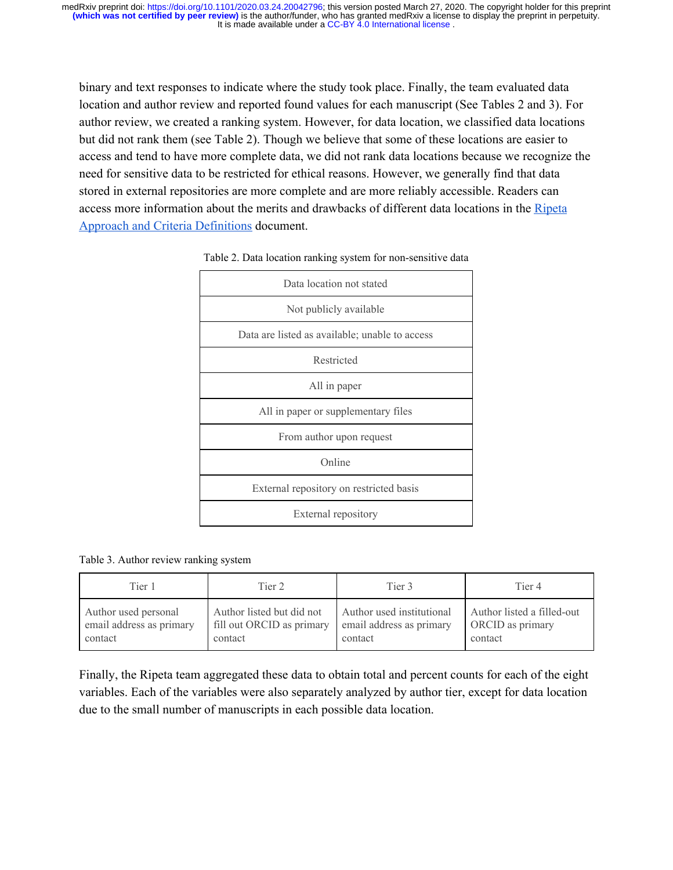binary and text responses to indicate where the study took place. Finally, the team evaluated data location and author review and reported found values for each manuscript (See Tables 2 and 3). For author review, we created a ranking system. However, for data location, we classified data locations but did not rank them (see Table 2). Though we believe that some of these locations are easier to access and tend to have more complete data, we did not rank data locations because we recognize the need for sensitive data to be restricted for ethical reasons. However, we generally find that data stored in external repositories are more complete and are more reliably accessible. Readers can access more information about the merits and drawbacks of different data locations in the [Ripeta](https://www.ripeta.com/uploads/7/4/8/7/7487334/ripeta_approach_and_criteria_definitions.pdf) [Approach and Criteria Definitions](https://www.ripeta.com/uploads/7/4/8/7/7487334/ripeta_approach_and_criteria_definitions.pdf) document.

| Data location not stated                       |  |  |  |
|------------------------------------------------|--|--|--|
| Not publicly available                         |  |  |  |
| Data are listed as available; unable to access |  |  |  |
| Restricted                                     |  |  |  |
| All in paper                                   |  |  |  |
| All in paper or supplementary files            |  |  |  |
| From author upon request                       |  |  |  |
| Online                                         |  |  |  |
| External repository on restricted basis        |  |  |  |
| External repository                            |  |  |  |
|                                                |  |  |  |

#### Table 2. Data location ranking system for non-sensitive data

Table 3. Author review ranking system

| Tier 1                   | Tier 2                    | Tier 3                    | Tier 4                     |
|--------------------------|---------------------------|---------------------------|----------------------------|
| Author used personal     | Author listed but did not | Author used institutional | Author listed a filled-out |
| email address as primary | fill out ORCID as primary | email address as primary  | ORCID as primary           |
| contact                  | contact                   | contact                   | contact                    |

Finally, the Ripeta team aggregated these data to obtain total and percent counts for each of the eight variables. Each of the variables were also separately analyzed by author tier, except for data location due to the small number of manuscripts in each possible data location.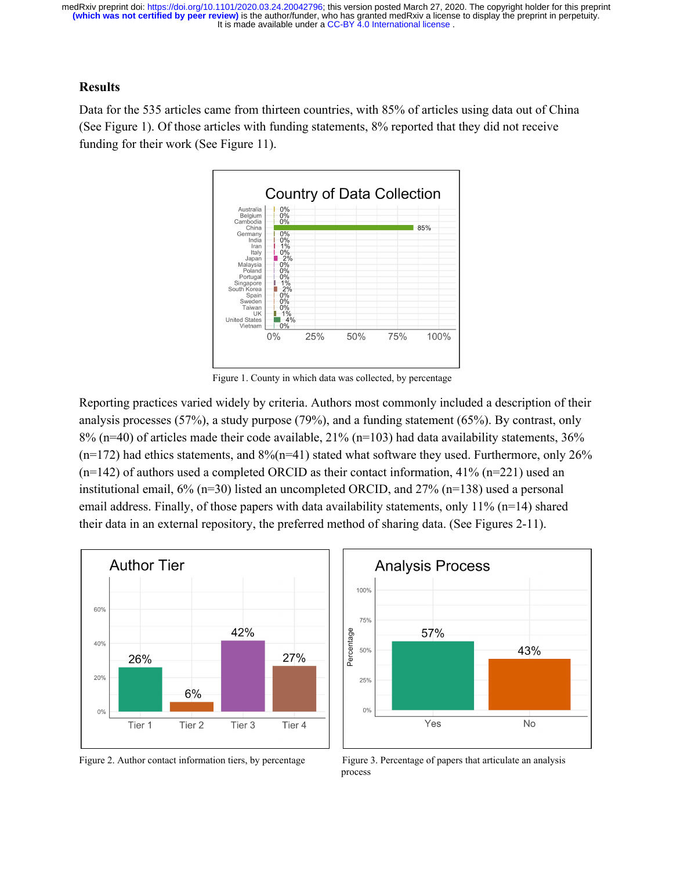#### **Results**

Data for the 535 articles came from thirteen countries, with 85% of articles using data out of China (See Figure 1). Of those articles with funding statements, 8% reported that they did not receive funding for their work (See Figure 11).



Figure 1. County in which data was collected, by percentage

Reporting practices varied widely by criteria. Authors most commonly included a description of their analysis processes (57%), a study purpose (79%), and a funding statement (65%). By contrast, only  $8\%$  (n=40) of articles made their code available,  $21\%$  (n=103) had data availability statements,  $36\%$  $(n=172)$  had ethics statements, and  $8\%/n=41)$  stated what software they used. Furthermore, only 26%  $(n=142)$  of authors used a completed ORCID as their contact information, 41%  $(n=221)$  used an institutional email, 6% (n=30) listed an uncompleted ORCID, and 27% (n=138) used a personal email address. Finally, of those papers with data availability statements, only 11% (n=14) shared their data in an external repository, the preferred method of sharing data. (See Figures 2-11).





Figure 2. Author contact information tiers, by percentage Figure 3. Percentage of papers that articulate an analysis process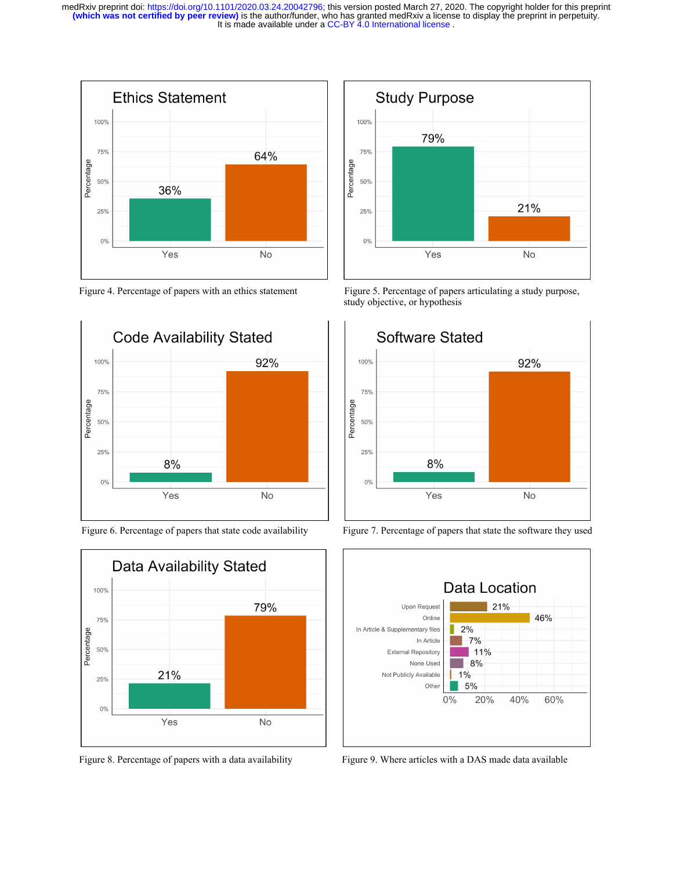











Figure 4. Percentage of papers with an ethics statement Figure 5. Percentage of papers articulating a study purpose, study objective, or hypothesis







Figure 8. Percentage of papers with a data availabilityFigure 9. Where articles with a DAS made data available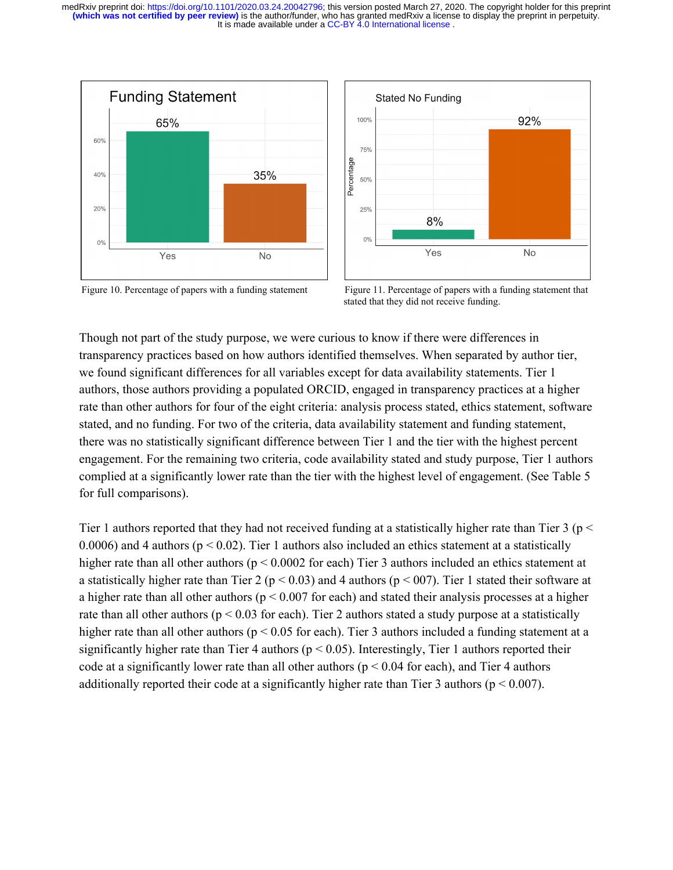



Figure 10. Percentage of papers with a funding statement Figure 11. Percentage of papers with a funding statement that stated that they did not receive funding.

Though not part of the study purpose, we were curious to know if there were differences in transparency practices based on how authors identified themselves. When separated by author tier, we found significant differences for all variables except for data availability statements. Tier 1 authors, those authors providing a populated ORCID, engaged in transparency practices at a higher rate than other authors for four of the eight criteria: analysis process stated, ethics statement, software stated, and no funding. For two of the criteria, data availability statement and funding statement, there was no statistically significant difference between Tier 1 and the tier with the highest percent engagement. For the remaining two criteria, code availability stated and study purpose, Tier 1 authors complied at a significantly lower rate than the tier with the highest level of engagement. (See Table 5 for full comparisons).

Tier 1 authors reported that they had not received funding at a statistically higher rate than Tier 3 ( $p <$ 0.0006) and 4 authors ( $p < 0.02$ ). Tier 1 authors also included an ethics statement at a statistically higher rate than all other authors ( $p < 0.0002$  for each) Tier 3 authors included an ethics statement at a statistically higher rate than Tier 2 ( $p < 0.03$ ) and 4 authors ( $p < 007$ ). Tier 1 stated their software at a higher rate than all other authors ( $p < 0.007$  for each) and stated their analysis processes at a higher rate than all other authors ( $p < 0.03$  for each). Tier 2 authors stated a study purpose at a statistically higher rate than all other authors ( $p < 0.05$  for each). Tier 3 authors included a funding statement at a significantly higher rate than Tier 4 authors ( $p < 0.05$ ). Interestingly, Tier 1 authors reported their code at a significantly lower rate than all other authors ( $p < 0.04$  for each), and Tier 4 authors additionally reported their code at a significantly higher rate than Tier 3 authors ( $p < 0.007$ ).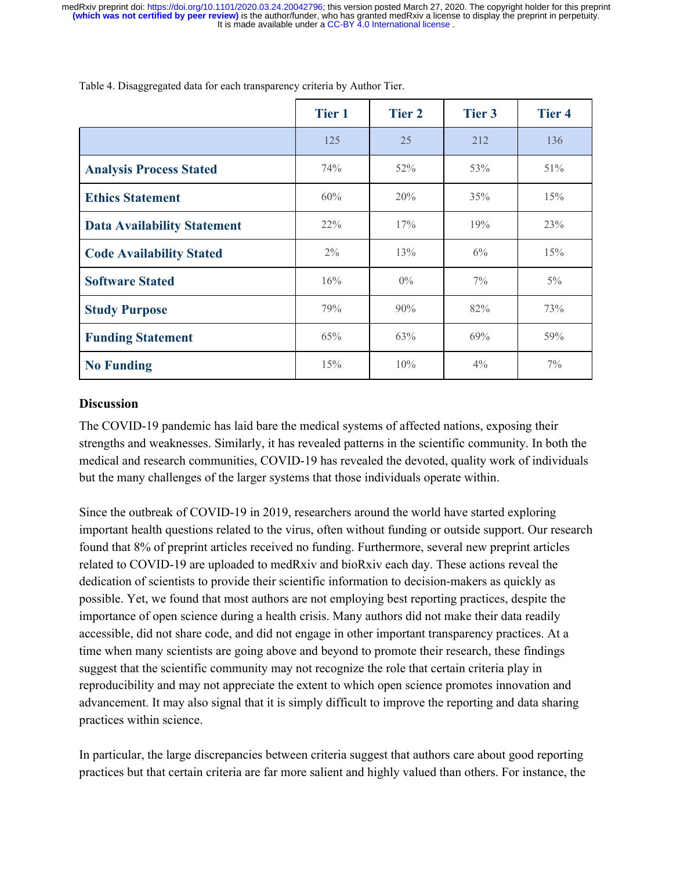|                                    | <b>Tier 1</b> | <b>Tier 2</b> | Tier 3 | <b>Tier 4</b> |
|------------------------------------|---------------|---------------|--------|---------------|
|                                    | 125           | 25            | 212    | 136           |
| <b>Analysis Process Stated</b>     | 74%           | 52%           | 53%    | 51%           |
| <b>Ethics Statement</b>            | 60%           | 20%           | 35%    | 15%           |
| <b>Data Availability Statement</b> | $22\%$        | 17%           | 19%    | 23%           |
| <b>Code Availability Stated</b>    | $2\%$         | 13%           | $6\%$  | 15%           |
| <b>Software Stated</b>             | 16%           | $0\%$         | $7\%$  | $5\%$         |
| <b>Study Purpose</b>               | 79%           | 90%           | 82%    | 73%           |
| <b>Funding Statement</b>           | 65%           | 63%           | 69%    | 59%           |
| <b>No Funding</b>                  | 15%           | 10%           | $4\%$  | $7\%$         |

Table 4. Disaggregated data for each transparency criteria by Author Tier.

## **Discussion**

The COVID-19 pandemic has laid bare the medical systems of affected nations, exposing their strengths and weaknesses. Similarly, it has revealed patterns in the scientific community. In both the medical and research communities, COVID-19 has revealed the devoted, quality work of individuals but the many challenges of the larger systems that those individuals operate within.

Since the outbreak of COVID-19 in 2019, researchers around the world have started exploring important health questions related to the virus, often without funding or outside support. Our research found that 8% of preprint articles received no funding. Furthermore, several new preprint articles related to COVID-19 are uploaded to medRxiv and bioRxiv each day. These actions reveal the dedication of scientists to provide their scientific information to decision-makers as quickly as possible. Yet, we found that most authors are not employing best reporting practices, despite the importance of open science during a health crisis. Many authors did not make their data readily accessible, did not share code, and did not engage in other important transparency practices. At a time when many scientists are going above and beyond to promote their research, these findings suggest that the scientific community may not recognize the role that certain criteria play in reproducibility and may not appreciate the extent to which open science promotes innovation and advancement. It may also signal that it is simply difficult to improve the reporting and data sharing practices within science.

In particular, the large discrepancies between criteria suggest that authors care about good reporting practices but that certain criteria are far more salient and highly valued than others. For instance, the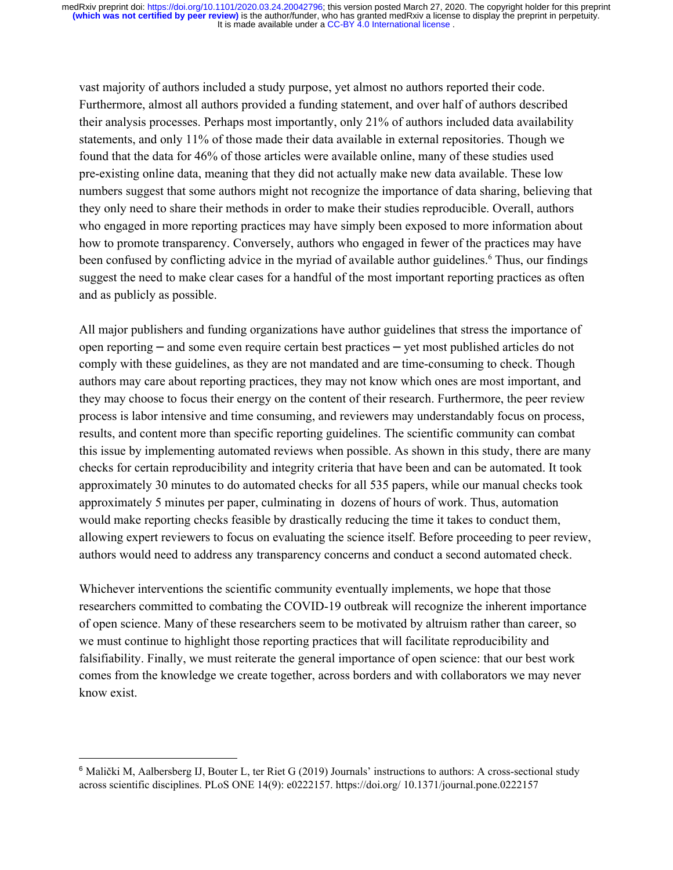vast majority of authors included a study purpose, yet almost no authors reported their code. Furthermore, almost all authors provided a funding statement, and over half of authors described their analysis processes. Perhaps most importantly, only 21% of authors included data availability statements, and only 11% of those made their data available in external repositories. Though we found that the data for 46% of those articles were available online, many of these studies used pre-existing online data, meaning that they did not actually make new data available. These low numbers suggest that some authors might not recognize the importance of data sharing, believing that they only need to share their methods in order to make their studies reproducible. Overall, authors who engaged in more reporting practices may have simply been exposed to more information about how to promote transparency. Conversely, authors who engaged in fewer of the practices may have been confused by conflicting advice in the myriad of available author guidelines.<sup>6</sup> Thus, our findings suggest the need to make clear cases for a handful of the most important reporting practices as often and as publicly as possible.

All major publishers and funding organizations have author guidelines that stress the importance of open reporting – and some even require certain best practices – yet most published articles do not comply with these guidelines, as they are not mandated and are time-consuming to check. Though authors may care about reporting practices, they may not know which ones are most important, and they may choose to focus their energy on the content of their research. Furthermore, the peer review process is labor intensive and time consuming, and reviewers may understandably focus on process, results, and content more than specific reporting guidelines. The scientific community can combat this issue by implementing automated reviews when possible. As shown in this study, there are many checks for certain reproducibility and integrity criteria that have been and can be automated. It took approximately 30 minutes to do automated checks for all 535 papers, while our manual checks took approximately 5 minutes per paper, culminating in dozens of hours of work. Thus, automation would make reporting checks feasible by drastically reducing the time it takes to conduct them, allowing expert reviewers to focus on evaluating the science itself. Before proceeding to peer review, authors would need to address any transparency concerns and conduct a second automated check.

Whichever interventions the scientific community eventually implements, we hope that those researchers committed to combating the COVID-19 outbreak will recognize the inherent importance of open science. Many of these researchers seem to be motivated by altruism rather than career, so we must continue to highlight those reporting practices that will facilitate reproducibility and falsifiability. Finally, we must reiterate the general importance of open science: that our best work comes from the knowledge we create together, across borders and with collaborators we may never know exist.

<sup>6</sup> Malički M, Aalbersberg IJ, Bouter L, ter Riet G (2019) Journals' instructions to authors: A cross-sectional study across scientific disciplines. PLoS ONE 14(9): e0222157. https://doi.org/ 10.1371/journal.pone.0222157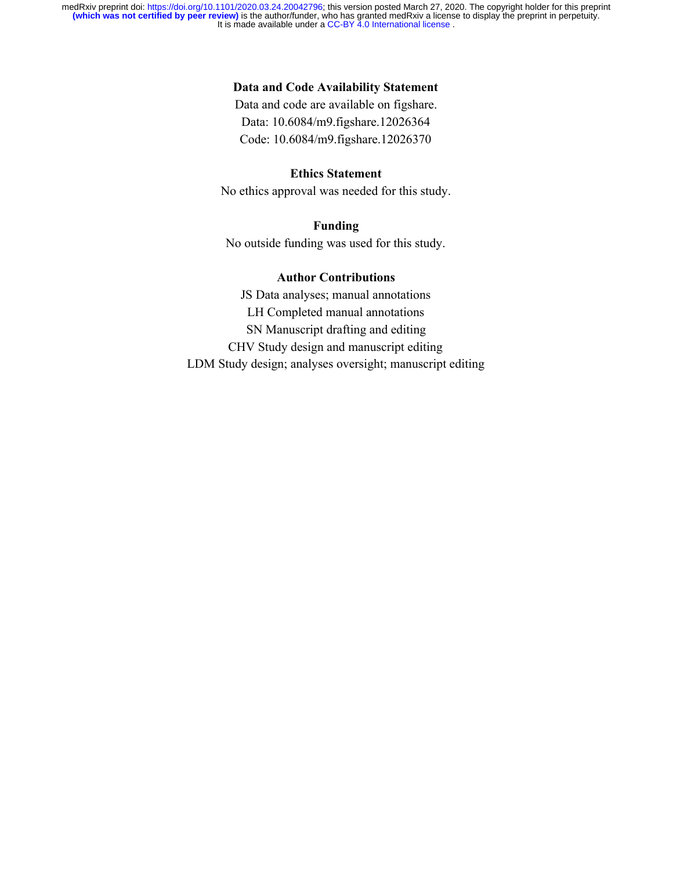#### **Data and Code Availability Statement**

Data and code are available on figshare. Data: 10.6084/m9.figshare.12026364 Code: 10.6084/m9.figshare.12026370

## **Ethics Statement**

No ethics approval was needed for this study.

## **Funding**

No outside funding was used for this study.

#### **Author Contributions**

JS Data analyses; manual annotations LH Completed manual annotations SN Manuscript drafting and editing CHV Study design and manuscript editing LDM Study design; analyses oversight; manuscript editing